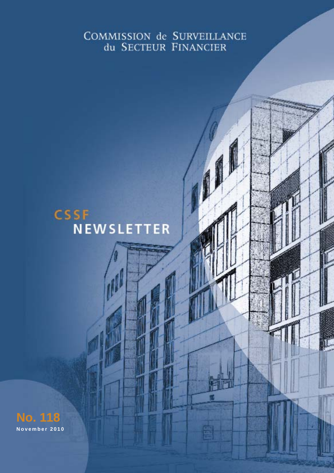# COMMISSION de SURVEILLANCE du SECTEUR FINANCIER

**CSSF Newsletter - November 2010 12:00 12:00 12:00 12:00 12:00 12:00 12:00 12:00 12:00 12:00 12:00 12:00 12:00** 

# **CSSF NEWSLETTER**

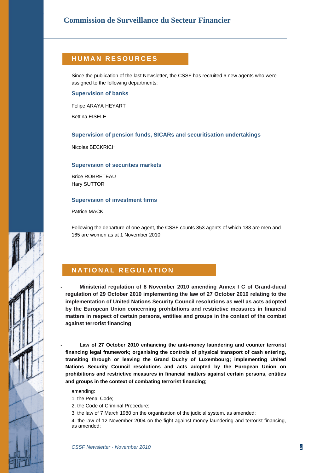# **HUMAN RESOURCES**

Since the publication of the last Newsletter, the CSSF has recruited 6 new agents who were assigned to the following departments:

#### **Supervision of banks**

Felipe ARAYA HEYART

Bettina EISELE

#### **Supervision of pension funds, SICARs and securitisation undertakings**

Nicolas BECKRICH

#### **Supervision of securities markets**

Brice ROBRETEAU Hary SUTTOR

#### **Supervision of investment firms**

Patrice MACK

Following the departure of one agent, the CSSF counts 353 agents of which 188 are men and 165 are women as at 1 November 2010.

# **NATIONAL REGULATION**

- **Ministerial regulation of 8 November 2010 amending Annex I C of Grand-ducal regulation of 29 October 2010 implementing the law of 27 October 2010 relating to the implementation of United Nations Security Council resolutions as well as acts adopted by the European Union concerning prohibitions and restrictive measures in financial matters in respect of certain persons, entities and groups in the context of the combat against terrorist financing**

Law of 27 October 2010 enhancing the anti-money laundering and counter terrorist **financing legal framework; organising the controls of physical transport of cash entering, transiting through or leaving the Grand Duchy of Luxembourg; implementing United Nations Security Council resolutions and acts adopted by the European Union on prohibitions and restrictive measures in financial matters against certain persons, entities and groups in the context of combating terrorist financing**;

amending:

- 1. the Penal Code;
- 2. the Code of Criminal Procedure;
- 3. the law of 7 March 1980 on the organisation of the judicial system, as amended;

4. the law of 12 November 2004 on the fight against money laundering and terrorist financing, as amended;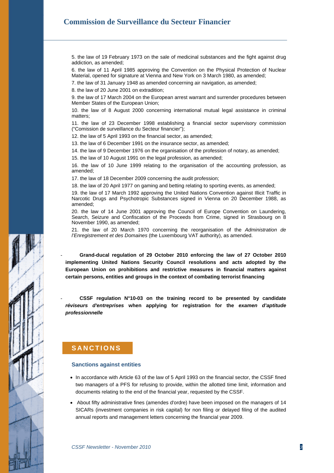5. the law of 19 February 1973 on the sale of medicinal substances and the fight against drug addiction, as amended;

6. the law of 11 April 1985 approving the Convention on the Physical Protection of Nuclear Material, opened for signature at Vienna and New York on 3 March 1980, as amended;

7. the law of 31 January 1948 as amended concerning air navigation, as amended;

8. the law of 20 June 2001 on extradition;

9. the law of 17 March 2004 on the European arrest warrant and surrender procedures between Member States of the European Union;

10. the law of 8 August 2000 concerning international mutual legal assistance in criminal matters;

11. the law of 23 December 1998 establishing a financial sector supervisory commission ("Comission de surveillance du Secteur financier");

12. the law of 5 April 1993 on the financial sector, as amended;

13. the law of 6 December 1991 on the insurance sector, as amended;

14. the law of 9 December 1976 on the organisation of the profession of notary, as amended;

15. the law of 10 August 1991 on the legal profession, as amended;

16. the law of 10 June 1999 relating to the organisation of the accounting profession, as amended;

17. the law of 18 December 2009 concerning the audit profession;

18. the law of 20 April 1977 on gaming and betting relating to sporting events, as amended;

19. the law of 17 March 1992 approving the United Nations Convention against Illicit Traffic in Narcotic Drugs and Psychotropic Substances signed in Vienna on 20 December 1988, as amended;

20. the law of 14 June 2001 approving the Council of Europe Convention on Laundering, Search, Seizure and Confiscation of the Proceeds from Crime, signed in Strasbourg on 8 November 1990, as amended;

21. the law of 20 March 1970 concerning the reorganisation of the *Administration de l'Enregistrement et des Domaines* (the Luxembourg VAT authority), as amended.

- **Grand-ducal regulation of 29 October 2010 enforcing the law of 27 October 2010 implementing United Nations Security Council resolutions and acts adopted by the European Union on prohibitions and restrictive measures in financial matters against certain persons, entities and groups in the context of combating terrorist financing**

- **CSSF regulation N°10-03 on the training record to be presented by candidate** *réviseurs d'entreprises* **when applying for registration for the** *examen d'aptitude professionnelle*

# **SANCTIONS**

#### **Sanctions against entities**

- In accordance with Article 63 of the law of 5 April 1993 on the financial sector, the CSSF fined two managers of a PFS for refusing to provide, within the allotted time limit, information and documents relating to the end of the financial year, requested by the CSSF.
- About fifty administrative fines (amendes d'ordre) have been imposed on the managers of 14 SICARs (investment companies in risk capital) for non filing or delayed filing of the audited annual reports and management letters concerning the financial year 2009.

**CSSF Newsletter - November 2010** 3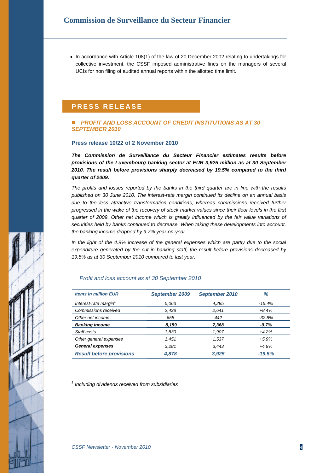• In accordance with Article 108(1) of the law of 20 December 2002 relating to undertakings for collective investment, the CSSF imposed administrative fines on the managers of several UCIs for non filing of audited annual reports within the allotted time limit.

# **PRES S REL E A S E**

#### *PROFIT AND LOSS ACCOUNT OF CREDIT INSTITUTIONS AS AT 30 SEPTEMBER 2010*

#### **Press release 10/22 of 2 November 2010**

*The Commission de Surveillance du Secteur Financier estimates results before provisions of the Luxembourg banking sector at EUR 3,925 million as at 30 September 2010. The result before provisions sharply decreased by 19.5% compared to the third quarter of 2009.* 

*The profits and losses reported by the banks in the third quarter are in line with the results published on 30 June 2010. The interest-rate margin continued its decline on an annual basis due to the less attractive transformation conditions, whereas commissions received further progressed in the wake of the recovery of stock market values since their floor levels in the first quarter of 2009. Other net income which is greatly influenced by the fair value variations of securities held by banks continued to decrease. When taking these developments into account, the banking income dropped by 9.7% year-on-year.* 

*In the light of the 4.9% increase of the general expenses which are partly due to the social expenditure generated by the cut in banking staff, the result before provisions decreased by 19.5% as at 30 September 2010 compared to last year.* 

#### *Profit and loss account as at 30 September 2010*

| <b>Items in million EUR</b>       | September 2009 | September 2010 | %        |
|-----------------------------------|----------------|----------------|----------|
| Interest-rate margin <sup>1</sup> | 5.063          | 4,285          | -15.4%   |
| Commissions received              | 2,438          | 2,641          | $+8.4%$  |
| Other net income                  | 658            | 442            | $-32.8%$ |
| <b>Banking income</b>             | 8,159          | 7,368          | $-9.7\%$ |
| Staff costs                       | 1,830          | 1,907          | $+4.2%$  |
| Other general expenses            | 1,451          | 1,537          | $+5.9%$  |
| <b>General expenses</b>           | 3,281          | 3,443          | +4.9%    |
| <b>Result before provisions</b>   | 4,878          | 3,925          | $-19.5%$ |

*1 Including dividends received from subsidiaries*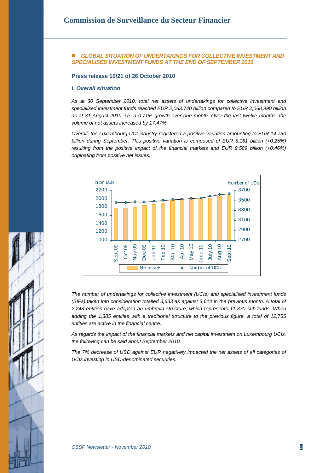#### *GLOBAL SITUATION OF UNDERTAKINGS FOR COLLECTIVE INVESTMENT AND SPECIALISED INVESTMENT FUNDS AT THE END OF SEPTEMBER 2010*

**Press release 10/21 of 26 October 2010** 

#### *I. Overall situation*

*As at 30 September 2010, total net assets of undertakings for collective investment and specialised investment funds reached EUR 2,083.740 billion compared to EUR 2,068.990 billion as at 31 August 2010, i.e. a 0.71% growth over one month. Over the last twelve months, the volume of net assets increased by 17.47%.* 

*Overall, the Luxembourg UCI industry registered a positive variation amounting to EUR 14.750 billion during September. This positive variation is composed of EUR 5.161 billion (+0.25%) resulting from the positive impact of the financial markets and EUR 9.589 billion (+0.46%) originating from positive net issues.* 



*The number of undertakings for collective investment (UCIs) and specialised investment funds (SIFs) taken into consideration totalled 3,633 as against 3,614 in the previous month. A total of 2,248 entities have adopted an umbrella structure, which represents 11,370 sub-funds. When adding the 1,385 entities with a traditional structure to the previous figure, a total of 12,755 entities are active in the financial centre.* 

*As regards the impact of the financial markets and net capital investment on Luxembourg UCIs, the following can be said about September 2010.* 

*The 7% decrease of USD against EUR negatively impacted the net assets of all categories of UCIs investing in USD-denominated securities.*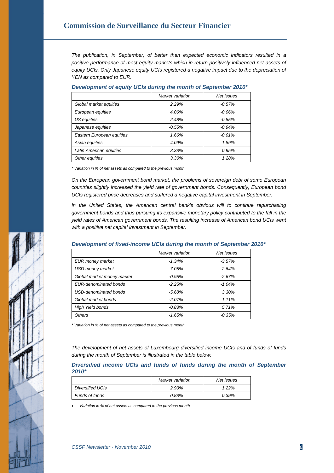*The publication, in September, of better than expected economic indicators resulted in a positive performance of most equity markets which in return positively influenced net assets of equity UCIs. Only Japanese equity UCIs registered a negative impact due to the depreciation of YEN as compared to EUR.* 

|                           | Market variation | Net issues |
|---------------------------|------------------|------------|
| Global market equities    | 2.29%            | $-0.57%$   |
| European equities         | 4.06%            | $-0.06%$   |
| US equities               | 2.48%            | $-0.85\%$  |
| Japanese equities         | $-0.55%$         | $-0.94%$   |
| Eastern European equities | 1.66%            | $-0.01%$   |
| Asian equities            | 4.09%            | 1.89%      |
| Latin American equities   | 3.38%            | 0.95%      |
| Other equities            | 3.30%            | 1.28%      |

#### *Development of equity UCIs during the month of September 2010\**

*\* Variation in % of net assets as compared to the previous month* 

*On the European government bond market, the problems of sovereign debt of some European countries slightly increased the yield rate of government bonds. Consequently, European bond UCIs registered price decreases and suffered a negative capital investment in September.* 

*In the United States, the American central bank's obvious will to continue repurchasing government bonds and thus pursuing its expansive monetary policy contributed to the fall in the yield rates of American government bonds. The resulting increase of American bond UCIs went with a positive net capital investment in September.* 

#### *Development of fixed-income UCIs during the month of September 2010\**

|                            | Market variation | Net issues |
|----------------------------|------------------|------------|
| EUR money market           | $-1.34%$         | $-3.57\%$  |
| <b>USD money market</b>    | -7.05%           | 2.64%      |
| Global market money market | $-0.95%$         | $-2.67%$   |
| EUR-denominated bonds      | $-2.25%$         | $-1.04%$   |
| USD-denominated bonds      | $-5.68%$         | 3.30%      |
| Global market bonds        | $-2.07%$         | 1.11%      |
| <b>High Yield bonds</b>    | $-0.83%$         | 5.71%      |
| <b>Others</b>              | $-1.65%$         | $-0.35%$   |

*\* Variation in % of net assets as compared to the previous month* 

*The development of net assets of Luxembourg diversified income UCIs and of funds of funds during the month of September is illustrated in the table below:* 

*Diversified income UCIs and funds of funds during the month of September 2010\** 

|                         | Market variation | Net issues |
|-------------------------|------------------|------------|
| <b>Diversified UCIs</b> | 2.90%            | $1.22\%$   |
| Funds of funds          | 0.88%            | 0.39%      |

• *Variation in % of net assets as compared to the previous month*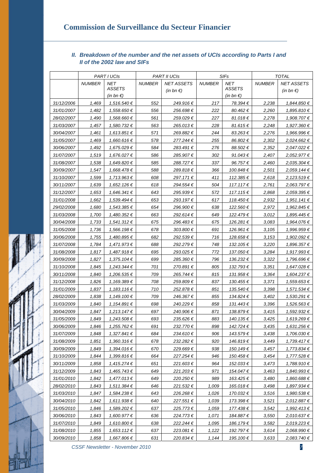# *II. Breakdown of the number and the net assets of UCIs according to Parts I and II of the 2002 law and SIFs*

|            |               | <b>PART I UCIS</b>  |               | <b>PART II UCIS</b> | <b>SIFs</b>   |                     | <b>TOTAL</b>  |                     |
|------------|---------------|---------------------|---------------|---------------------|---------------|---------------------|---------------|---------------------|
|            | <b>NUMBER</b> | NET                 | <b>NUMBER</b> | <b>NET ASSETS</b>   | <b>NUMBER</b> | <b>NET</b>          | <b>NUMBER</b> | <b>NET ASSETS</b>   |
|            |               | <b>ASSETS</b>       |               | (in bn $\epsilon$ ) |               | <b>ASSETS</b>       |               | (in bn $\epsilon$ ) |
|            |               | (in bn $\epsilon$ ) |               |                     |               | (in bn $\epsilon$ ) |               |                     |
| 31/12/2006 | 1,469         | 1,516.540€          | 552           | 249.916€            | 217           | 78.394€             | 2,238         | 1,844.850€          |
| 31/01/2007 | 1,482         | 1,558.650€          | 556           | 256.698€            | 222           | 80.462€             | 2,260         | 1,895.810€          |
| 28/02/2007 | 1,490         | 1,568.660€          | 561           | 259.029€            | 227           | 81.018€             | 2,278         | 1,908.707€          |
| 31/03/2007 | 1,457         | 1,580.732 €         | 563           | 265.013€            | 228           | 81.615€             | 2,248         | 1,927.360€          |
| 30/04/2007 | 1,461         | 1,613.851€          | 571           | 269.882 €           | 244           | 83.263€             | 2,276         | 1,966.996€          |
| 31/05/2007 | 1,469         | 1,660.616€          | 578           | 277.244€            | 255           | 86.802€             | 2,302         | 2,024.662 €         |
| 30/06/2007 | 1,492         | 1,675.029€          | 584           | 283.491€            | 276           | 88.502€             | 2,352         | 2,047.022 €         |
| 31/07/2007 | 1,519         | 1,676.027€          | 586           | 285.907€            | 302           | 91.043€             | 2,407         | 2,052.977€          |
| 31/08/2007 | 1,538         | 1,649.820€          | 585           | 288.727€            | 337           | 96.757€             | 2,460         | 2,035.304€          |
| 30/09/2007 | 1,547         | 1,668.478€          | 588           | 289.818€            | 366           | 100.848€            | 2,501         | 2,059.144€          |
| 31/10/2007 | 1,599         | 1,713.963€          | 608           | 297.171€            | 411           | 112.385€            | 2,618         | 2,123.519€          |
| 30/11/2007 | 1,639         | 1,652.126€          | 618           | 294.554€            | 504           | 117.117€            | 2,761         | 2,063.797€          |
| 31/12/2007 | 1,653         | 1,646.341 €         | 643           | 295.939€            | 572           | 117.115€            | 2,868         | 2,059.395€          |
| 31/01/2008 | 1,662         | 1,539.494 €         | 653           | 293.197€            | 617           | 118.450€            | 2,932         | 1,951.141 €         |
| 29/02/2008 | 1,680         | 1,543.385€          | 654           | 296.900€            | 638           | 122.560€            | 2,972         | 1,962.845€          |
| 31/03/2008 | 1,700         | 1,480.352 €         | 663           | 292.614€            | 649           | 122.479€            | 3,012         | 1,895.445€          |
| 30/04/2008 | 1,733         | 1,541.312 €         | 675           | 296.483€            | 675           | 126.281 €           | 3,083         | 1,964.076€          |
| 31/05/2008 | 1,736         | 1,566.198€          | 678           | 303.800€            | 691           | 126.961€            | 3,105         | 1,996.959€          |
| 30/06/2008 | 1,755         | 1,480.895€          | 682           | 292.539€            | 716           | 128.658€            | 3,153         | 1,902.092 €         |
| 31/07/2008 | 1,784         | 1,471.973€          | 688           | 292.279€            | 748           | 132.105€            | 3,220         | 1,896.357€          |
| 31/08/2008 | 1,817         | 1,487.918€          | 695           | 293.025€            | 772           | 137.050€            | 3,284         | 1,917.993€          |
| 30/09/2008 | 1,827         | 1,375.104€          | 699           | 285.360 €           | 796           | 136.232 €           | 3,322         | 1,796.696€          |
| 31/10/2008 | 1,845         | 1,243.344 €         | 701           | 270.891€            | 805           | 132.793€            | 3,351         | 1,647.028€          |
| 30/11/2008 | 1,840         | 1,206.535€          | 709           | 265.744€            | 815           | 131.958€            | 3,364         | 1,604.237€          |
| 31/12/2008 | 1,826         | 1,169.389€          | 708           | 259.809€            | 837           | 130.455€            | 3,371         | 1,559.653€          |
| 31/01/2009 | 1,837         | 1,183.116€          | 710           | 252.878€            | 851           | 135.540 €           | 3,398         | 1,571.534€          |
| 28/02/2009 | 1,838         | 1,149.100€          | 709           | 246.367€            | 855           | 134.824€            | 3,402         | 1,530.291 €         |
| 31/03/2009 | 1,840         | 1,154.891 €         | 698           | 240.229€            | 858           | 131.443€            | 3,396         | 1,526.563€          |
| 30/04/2009 | 1,847         | 1,213.147€          | 697           | 240.906€            | 871           | 138.879€            | 3,415         | 1,592.932 €         |
| 31/05/2009 | 1,849         | 1,243.508€          | 693           | 235.626€            | 883           | 140.135€            | 3,425         | 1,619.269€          |
| 30/06/2009 | 1,846         | 1,255.762€          | 691           | 232.770€            | 898           | 142.724€            | 3,435         | 1,631.256€          |
| 31/07/2009 | 1,848         | 1,327.841€          | 684           | 234.610€            | 906           | 143.579€            | 3,438         | 1,706.030€          |
| 31/08/2009 | 1,851         | 1,360.316€          | 678           | 232.282€            | 920           | 146.819€            | 3,449         | 1,739.417€          |
| 30/09/2009 | 1,849         | 1,394.016€          | 670           | 229.669€            | 938           | 150.149€            | 3,457         | 1,773.834€          |
| 31/10/2009 | 1,844         | 1,399.816€          | 664           | 227.254€            | 946           | 150.458€            | 3,454         | 1,777.528€          |
| 30/11/2009 | 1,858         | 1,415.274€          | 651           | 221.603€            | 964           | 152.033€            | 3,473         | 1,788.910€          |
| 31/12/2009 | 1,843         | 1,465.743€          | 649           | 221.203€            | 971           | 154.047€            | 3,463         | 1,840.993€          |
| 31/01/2010 | 1,842         | 1,477.013€          | 649           | 220.250€            | 989           | 163.425€            | 3,480         | 1,860.688€          |
| 28/02/2010 | 1,843         | 1,511.384€          | 646           | 221.532€            | 1,009         | 165.018€            | 3,498         | 1,897.934€          |
| 31/03/2010 | 1,847         | 1,584.238€          | 643           | 226.268€            | 1,026         | 170.032 €           | 3,516         | 1,980.538€          |
| 30/04/2010 | 1,842         | 1,611.938€          | 640           | 227.551€            | 1,039         | 173.398€            | 3,521         | 2,012.887€          |
| 31/05/2010 | 1,846         | 1,589.202€          | 637           | 225.773€            | 1,059         | 177.438€            | 3,542         | 1,992.413€          |
| 30/06/2010 | 1,843         | 1,600.977€          | 636           | 224.773€            | 1,071         | 184.887€            | 3,550         | 2,010.637€          |
| 31/07/2010 | 1,849         | 1,610.800€          | 638           | 222.244€            | 1,095         | 186.179€            | 3,582         | 2,019.223€          |
| 31/08/2010 | 1,855         | 1,653.112 €         | 637           | 223.081€            | 1,122         | 192.797€            | 3,614         | 2,068.990€          |
| 30/09/2010 | 1,858         | 1,667.806€          | 631           | 220.834€            | 1,144         | 195.100€            | 3,633         | 2,083.740 €         |

*CSSF Newsletter - November 2010* 7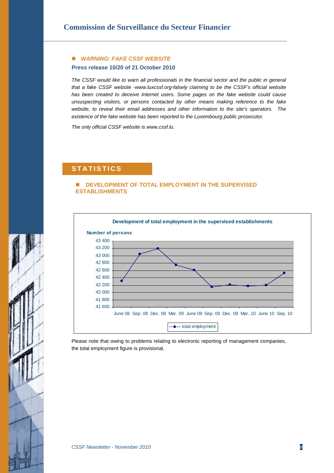## *WARNING: FAKE CSSF WEBSITE*

#### **Press release 10/20 of 21 October 2010**

*The CSSF would like to warn all professionals in the financial sector and the public in general that a fake CSSF website -[www.luxcssf.org-](http://www.luxcssf.org/)falsely claiming to be the CSSF's official website has been created to deceive Internet users. Some pages on the fake website could cause unsuspecting visitors, or persons contacted by other means making reference to the fake website, to reveal their email addresses and other information to the site's operators. The existence of the fake website has been reported to the Luxembourg public prosecutor.* 

*The only official CSSF website is [www.cssf.lu.](http://www.cssf.lu/index.php?&L=1)* 

# $S$  **TATISTICS**

#### **DEVELOPMENT OF TOTAL EMPLOYMENT IN THE SUPERVISED ESTABLISHMENTS**



Please note that owing to problems relating to electronic reporting of management companies, the total employment figure is provisional.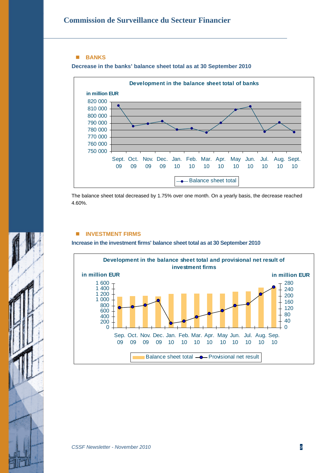#### **BANKS**

**Decrease in the banks' balance sheet total as at 30 September 2010** 



The balance sheet total decreased by 1.75% over one month. On a yearly basis, the decrease reached 4.60%.

#### **INVESTMENT FIRMS**

**Increase in the investment firms' balance sheet total as at 30 September 2010** 



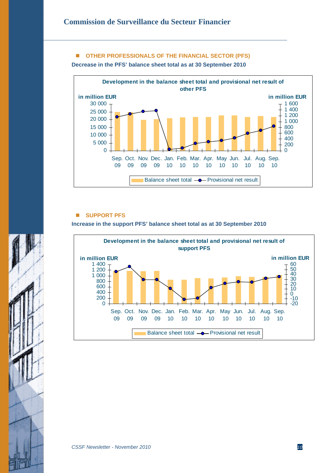# **OTHER PROFESSIONALS OF THE FINANCIAL SECTOR (PFS)**

**Decrease in the PFS' balance sheet total as at 30 September 2010** 



### **SUPPORT PFS**

**Increase in the support PFS' balance sheet total as at 30 September 2010** 



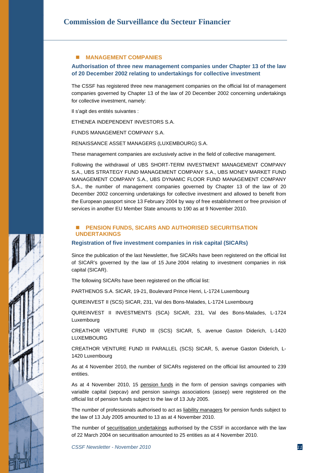#### **MANAGEMENT COMPANIES**

#### **Authorisation of three new management companies under Chapter 13 of the law of 20 December 2002 relating to undertakings for collective investment**

The CSSF has registered three new management companies on the official list of management companies governed by Chapter 13 of the law of 20 December 2002 concerning undertakings for collective investment, namely:

Il s'agit des entités suivantes :

ETHENEA INDEPENDENT INVESTORS S.A.

FUNDS MANAGEMENT COMPANY S.A.

RENAISSANCE ASSET MANAGERS (LUXEMBOURG) S.A.

These management companies are exclusively active in the field of collective management.

Following the withdrawal of UBS SHORT-TERM INVESTMENT MANAGEMENT COMPANY S.A., UBS STRATEGY FUND MANAGEMENT COMPANY S.A., UBS MONEY MARKET FUND MANAGEMENT COMPANY S.A., UBS DYNAMIC FLOOR FUND MANAGEMENT COMPANY S.A., the number of management companies governed by Chapter 13 of the law of 20 December 2002 concerning undertakings for collective investment and allowed to benefit from the European passport since 13 February 2004 by way of free establishment or free provision of services in another EU Member State amounts to 190 as at 9 November 2010.

#### **PENSION FUNDS, SICARS AND AUTHORISED SECURITISATION UNDERTAKINGS**

#### **Registration of five investment companies in risk capital (SICARs)**

Since the publication of the last Newsletter, five SICARs have been registered on the official list of SICAR's governed by the law of 15 June 2004 relating to investment companies in risk capital (SICAR).

The following SICARs have been registered on the official list:

PARTHENOS S.A. SICAR, 19-21, Boulevard Prince Henri, L-1724 Luxembourg

QUREINVEST II (SCS) SICAR, 231, Val des Bons-Malades, L-1724 Luxembourg

QUREINVEST II INVESTMENTS (SCA) SICAR, 231, Val des Bons-Malades, L-1724 Luxembourg

CREATHOR VENTURE FUND III (SCS) SICAR, 5, avenue Gaston Diderich, L-1420 LUXEMBOURG

CREATHOR VENTURE FUND III PARALLEL (SCS) SICAR, 5, avenue Gaston Diderich, L-1420 Luxembourg

As at 4 November 2010, the number of SICARs registered on the official list amounted to 239 entities.

As at 4 November 2010, 15 pension funds in the form of pension savings companies with variable capital (sepcav) and pension savings associations (assep) were registered on the official list of pension funds subject to the law of 13 July 2005.

The number of professionals authorised to act as liability managers for pension funds subject to the law of 13 July 2005 amounted to 13 as at 4 November 2010.

The number of securitisation undertakings authorised by the CSSF in accordance with the law of 22 March 2004 on securitisation amounted to 25 entities as at 4 November 2010.

**CSSF Newsletter - November 2010** 11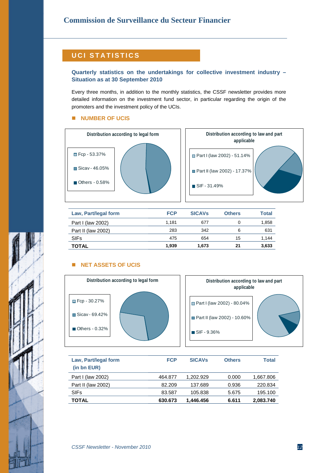# **UCI STATISTICS**

### **Quarterly statistics on the undertakings for collective investment industry – Situation as at 30 September 2010**

Every three months, in addition to the monthly statistics, the CSSF newsletter provides more detailed information on the investment fund sector, in particular regarding the origin of the promoters and the investment policy of the UCIs.

#### **NUMBER OF UCIS**





| Law, Part/legal form | <b>FCP</b> | <b>SICAVS</b> | <b>Others</b> | <b>Total</b> |
|----------------------|------------|---------------|---------------|--------------|
| Part I (law 2002)    | 1.181      | 677           |               | 1,858        |
| Part II (law 2002)   | 283        | 342           | 6             | 631          |
| <b>SIFs</b>          | 475        | 654           | 15            | 1.144        |
| <b>TOTAL</b>         | 1.939      | 1.673         | 21            | 3,633        |

# **NET ASSETS OF UCIS**



| Distribution according to law and part<br>applicable |  |
|------------------------------------------------------|--|
| Part I (law 2002) - 80.04%                           |  |
| Part II (law 2002) - 10.60%                          |  |
| $\blacksquare$ SIF - 9.36%                           |  |

| Law, Part/legal form<br>(in bn EUR) | <b>FCP</b> | <b>SICAV<sub>s</sub></b> | <b>Others</b> | <b>Total</b> |
|-------------------------------------|------------|--------------------------|---------------|--------------|
| Part I (law 2002)                   | 464.877    | 1.202.929                | 0.000         | 1,667.806    |
| Part II (law 2002)                  | 82.209     | 137.689                  | 0.936         | 220.834      |
| <b>SIFs</b>                         | 83.587     | 105.838                  | 5.675         | 195.100      |
| TOTAL                               | 630.673    | 1.446.456                | 6.611         | 2,083.740    |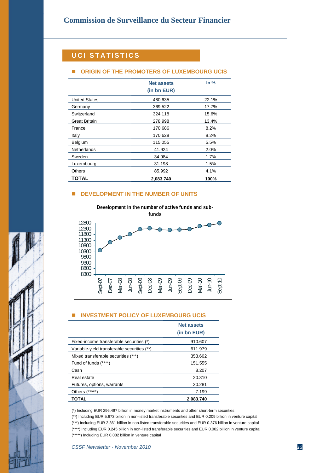# **UCI STATISTICS**

### **ORIGIN OF THE PROMOTERS OF LUXEMBOURG UCIS**

|                      | <b>Net assets</b><br>(in bn EUR) | In $%$ |
|----------------------|----------------------------------|--------|
| <b>United States</b> | 460.635                          | 22.1%  |
| Germany              | 369.522                          | 17.7%  |
| Switzerland          | 324.118                          | 15.6%  |
| <b>Great Britain</b> | 278.998                          | 13.4%  |
| France               | 170.686                          | 8.2%   |
| Italy                | 170.628                          | 8.2%   |
| Belgium              | 115.055                          | 5.5%   |
| Netherlands          | 41.924                           | 2.0%   |
| Sweden               | 34.984                           | 1.7%   |
| Luxembourg           | 31.198                           | 1.5%   |
| <b>Others</b>        | 85.992                           | 4.1%   |
| TOTAL                | 2.083.740                        | 100%   |

#### **DEVELOPMENT IN THE NUMBER OF UNITS**



#### **INVESTMENT POLICY OF LUXEMBOURG UCIS**

|                                             | <b>Net assets</b> |
|---------------------------------------------|-------------------|
|                                             | (in bn EUR)       |
| Fixed-income transferable securities (*)    | 910.607           |
| Variable-yield transferable securities (**) | 611.979           |
| Mixed transferable securities (***)         | 353.602           |
| Fund of funds (****)                        | 151.555           |
| Cash                                        | 8.207             |
| Real estate                                 | 20.310            |
| Futures, options, warrants                  | 20.281            |
| Others (*****)                              | 7.199             |
| TOTAL                                       | 2.083.740         |

(\*) Including EUR 296.497 billion in money market instruments and other short-term securities

(\*\*) Including EUR 5.673 billion in non-listed transferable securities and EUR 0.209 billion in venture capital

(\*\*\*) Including EUR 2.361 billion in non-listed transferable securities and EUR 0.376 billion in venture capital (\*\*\*\*) Including EUR 0.245 billion in non-listed transferable securities and EUR 0.002 billion in venture capital (\*\*\*\*\*) Including EUR 0.082 billion in venture capital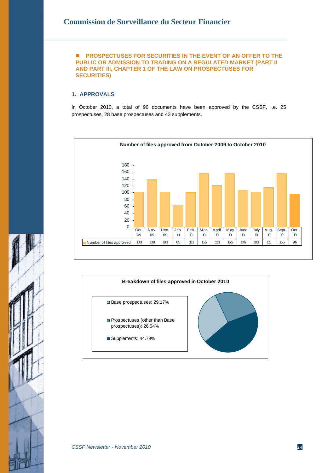#### **PROSPECTUSES FOR SECURITIES IN THE EVENT OF AN OFFER TO THE PUBLIC OR ADMISSION TO TRADING ON A REGULATED MARKET (PART II AND PART III, CHAPTER 1 OF THE LAW ON PROSPECTUSES FOR SECURITIES)**

# **1. APPROVALS**

In October 2010, a total of 96 documents have been approved by the CSSF, i.e. 25 prospectuses, 28 base prospectuses and 43 supplements.







ï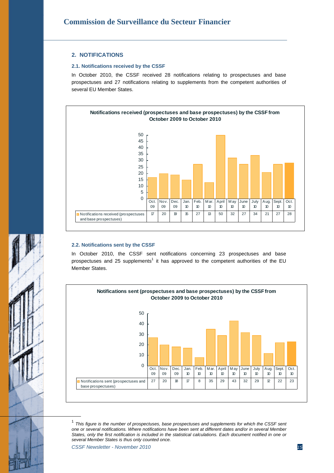#### **2. NOTIFICATIONS**

#### **2.1. Notifications received by the CSSF**

In October 2010, the CSSF received 28 notifications relating to prospectuses and base prospectuses and 27 notifications relating to supplements from the competent authorities of several EU Member States.



#### **2.2. Notifications sent by the CSSF**

In October 2010, the CSSF sent notifications concerning 23 prospectuses and base prospectuses and 25 supplements<sup>1</sup> it has approved to the competent authorities of the EU Member States.



<sup>1</sup> *This figure is the number of prospectuses, base prospectuses and supplements for which the CSSF sent one or several notifications. Where notifications have been sent at different dates and/or in several Member States, only the first notification is included in the statistical calculations. Each document notified in one or several Member States is thus only counted once.* 

*CSSF Newsletter - November 2010 15*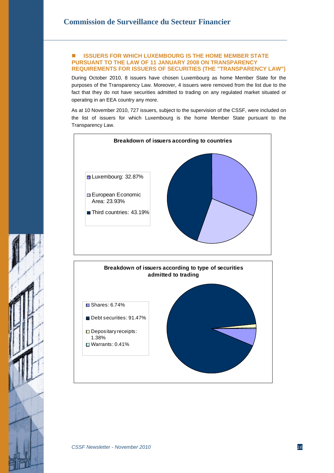#### **ISSUERS FOR WHICH LUXEMBOURG IS THE HOME MEMBER STATE PURSUANT TO THE LAW OF 11 JANUARY 2008 ON TRANSPARENCY REQUIREMENTS FOR ISSUERS OF SECURITIES (THE "TRANSPARENCY LAW")**

During October 2010, 8 issuers have chosen Luxembourg as home Member State for the purposes of the Transparency Law. Moreover, 4 issuers were removed from the list due to the fact that they do not have securities admitted to trading on any regulated market situated or operating in an EEA country any more.

As at 10 November 2010, 727 issuers, subject to the supervision of the CSSF, were included on the list of issuers for which Luxembourg is the home Member State pursuant to the Transparency Law.

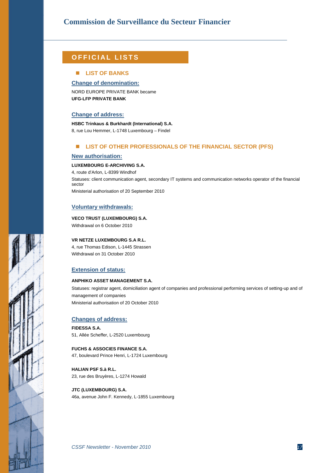# **OFFI CIAL LISTS**

#### **LIST OF BANKS**

**Change of denomination:**

NORD EUROPE PRIVATE BANK became **UFG-LFP PRIVATE BANK** 

#### **Change of address:**

**HSBC Trinkaus & Burkhardt (International) S.A.** 8, rue Lou Hemmer, L-1748 Luxembourg – Findel

#### **LIST OF OTHER PROFESSIONALS OF THE FINANCIAL SECTOR (PFS)**

#### **New authorisation:**

#### **LUXEMBOURG E-ARCHIVING S.A.**

4, route d'Arlon, L-8399 Windhof Statuses: client communication agent, secondary IT systems and communication networks operator of the financial sector

Ministerial authorisation of 20 September 2010

#### **Voluntary withdrawals:**

#### **VECO TRUST (LUXEMBOURG) S.A.**

Withdrawal on 6 October 2010

#### **VR NETZE LUXEMBOURG S.A R.L.**

4, rue Thomas Edison, L-1445 Strassen Withdrawal on 31 October 2010

#### **Extension of status:**

#### **ANPHIKO ASSET MANAGEMENT S.A.**

Statuses: registrar agent, domiciliation agent of companies and professional performing services of setting-up and of management of companies Ministerial authorisation of 20 October 2010

#### **Changes of address:**

**FIDESSA S.A.** 51, Allée Scheffer, L-2520 Luxembourg

#### **FUCHS & ASSOCIES FINANCE S.A.** 47, boulevard Prince Henri, L-1724 Luxembourg

**HALIAN PSF S.à R.L.**  23, rue des Bruyères, L-1274 Howald

**JTC (LUXEMBOURG) S.A.** 46a, avenue John F. Kennedy, L-1855 Luxembourg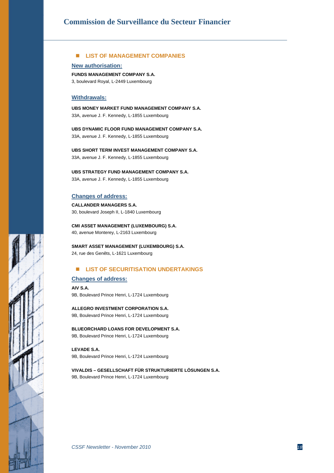### **LIST OF MANAGEMENT COMPANIES**

**New authorisation:**

**FUNDS MANAGEMENT COMPANY S.A.**

3, boulevard Royal, L-2449 Luxembourg

#### **Withdrawals:**

**UBS MONEY MARKET FUND MANAGEMENT COMPANY S.A.** 33A, avenue J. F. Kennedy, L-1855 Luxembourg

**UBS DYNAMIC FLOOR FUND MANAGEMENT COMPANY S.A.** 33A, avenue J. F. Kennedy, L-1855 Luxembourg

**UBS SHORT TERM INVEST MANAGEMENT COMPANY S.A.** 33A, avenue J. F. Kennedy, L-1855 Luxembourg

**UBS STRATEGY FUND MANAGEMENT COMPANY S.A.** 33A, avenue J. F. Kennedy, L-1855 Luxembourg

#### **Changes of address:**

**CALLANDER MANAGERS S.A.** 30, boulevard Joseph II, L-1840 Luxembourg

**CMI ASSET MANAGEMENT (LUXEMBOURG) S.A.** 40, avenue Monterey, L-2163 Luxembourg

**SMART ASSET MANAGEMENT (LUXEMBOURG) S.A.** 24, rue des Genêts, L-1621 Luxembourg

#### **LIST OF SECURITISATION UNDERTAKINGS**

#### **Changes of address:**

**AIV S.A.** 9B, Boulevard Prince Henri, L-1724 Luxembourg

**ALLEGRO INVESTMENT CORPORATION S.A.** 9B, Boulevard Prince Henri, L-1724 Luxembourg

**BLUEORCHARD LOANS FOR DEVELOPMENT S.A.** 9B, Boulevard Prince Henri, L-1724 Luxembourg

**LEVADE S.A.** 9B, Boulevard Prince Henri, L-1724 Luxembourg

**VIVALDIS – GESELLSCHAFT FÜR STRUKTURIERTE LÖSUNGEN S.A.** 9B, Boulevard Prince Henri, L-1724 Luxembourg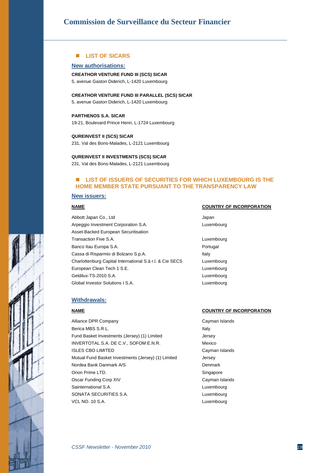#### **LIST OF SICARS**

#### **New authorisations:**

#### **CREATHOR VENTURE FUND III (SCS) SICAR**

5, avenue Gaston Diderich, L-1420 Luxembourg

#### **CREATHOR VENTURE FUND III PARALLEL (SCS) SICAR**

5, avenue Gaston Diderich, L-1420 Luxembourg

#### **PARTHENOS S.A. SICAR**

19-21, Boulevard Prince Henri, L-1724 Luxembourg

#### **QUREINVEST II (SCS) SICAR**

231, Val des Bons-Malades, L-2121 Luxembourg

#### **QUREINVEST II INVESTMENTS (SCS) SICAR**

231, Val des Bons-Malades, L-2121 Luxembourg

#### **LIST OF ISSUERS OF SECURITIES FOR WHICH LUXEMBOURG IS THE HOME MEMBER STATE PURSUANT TO THE TRANSPARENCY LAW**

#### **New issuers:**

Abbott Japan Co., Ltd Japan Japan Arpeggio Investment Corporation S.A. Luxembourg Asset-Backed European Securitisation Transaction Five S.A. Luxembourg Banco Itau Europa S.A. **Portugal** Cassa di Risparmio di Bolzano S.p.A. International di Risparmio di Bolzano S.p.A. Charlottenburg Capital International S.à r.l. & Cie SECS Luxembourg European Clean Tech 1 S.E. Luxembourg Geldilux-TS-2010 S.A. Luxembourg Global Investor Solutions I S.A. Communications Controller and Luxembourg

#### **NAME COUNTRY OF INCORPORATION**

- 
- 

#### **Withdrawals:**

Alliance DPR Company Cayman Islands Berica MBS S.R.L. Italy Fund Basket Investments (Jersey) (1) Limited Jersey INVERTOTAL S.A. DE C.V., SOFOM E.N.R. Mexico **ISLES CBO LIMITED** Cayman Islands Mutual Fund Basket Investments (Jersey) (1) Limited Jersey Nordea Bank Danmark A/S Denmark Orion Prime LTD. Singapore Oscar Funding Corp XIV Cayman Islands Sainternational S.A. **Luxembourg** SONATA SECURITIES S.A. Luxembourg VCL NO. 10 S.A. Luxembourg

#### **NAME COUNTRY OF INCORPORATION**

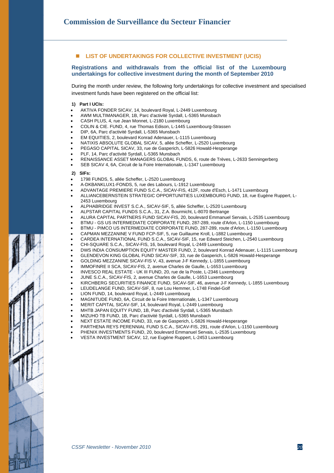#### **LIST OF UNDERTAKINGS FOR COLLECTIVE INVESTMENT (UCIS)**

#### **Registrations and withdrawals from the official list of the Luxembourg undertakings for collective investment during the month of September 2010**

During the month under review, the following forty undertakings for collective investment and specialised investment funds have been registered on the official list:

#### **1) Part I UCIs:**

- AKTIVA FONDER SICAV, 14, boulevard Royal, L-2449 Luxembourg
- AWM MULTIMANAGER, 1B, Parc d'activité Syrdall, L-5365 Munsbach
- CASH PLUS, 4, rue Jean Monnet, L-2180 Luxembourg
- COLIN & CIE. FUND, 4, rue Thomas Edison, L-1445 Luxembourg-Strassen
- DIP, 6A, Parc d'activité Syrdall, L-5365 Munsbach
- EM EQUITIES, 2, boulevard Konrad Adenauer, L-1115 Luxembourg
- NATIXIS ABSOLUTE GLOBAL SICAV, 5, allée Scheffer, L-2520 Luxembourg
- PEGASO CAPITAL SICAV, 33, rue de Gasperich, L-5826 Howald-Hesperange
- PLF, 14, Parc d'activité Syrdall, L-5365 Munsbach
- RENAISSANCE ASSET MANAGERS GLOBAL FUNDS, 6, route de Trèves, L-2633 Senningerberg
- SEB SICAV 4, 6A, Circuit de la Foire Internationale, L-1347 Luxembourg

#### **2) SIFs:**

- 1798 FUNDS, 5, allée Scheffer, L-2520 Luxembourg
- A-DKBANKLUX1-FONDS, 5, rue des Labours, L-1912 Luxembourg
- ADVANTAGE PREMIERE FUND S.C.A., SICAV-FIS, 412F, route d'Esch, L-1471 Luxembourg
- ALLIANCEBERNSTEIN STRATEGIC OPPORTUNITIES LUXEMBOURG FUND, 18, rue Eugène Ruppert, L-2453 Luxembourg
- ALPHABRIDGE INVEST S.C.A., SICAV-SIF, 5, allée Scheffer, L-2520 Luxembourg
- ALPSTAR CAPITAL FUNDS S.C.A., 31, Z.A. Bourmicht, L-8070 Bertrange
- ALURA CAPITAL PARTNERS FUND SICAV-FIS, 20, boulevard Emmanuel Servais, L-2535 Luxembourg
- BTMU GS US INTERMEDIATE CORPORATE FUND, 287-289, route d'Arlon, L-1150 Luxembourg
- BTMU PIMCO US INTERMEDIATE CORPORATE FUND, 287-289, route d'Arlon, L-1150 Luxembourg
- CAPMAN MEZZANINE V FUND FCP-SIF, 5, rue Guillaume Kroll, L-1882 Luxembourg
- CARDEA INTERNATIONAL FUND S.C.A., SICAV-SIF, 15, rue Edward Steichen, L-2540 Luxembourg
- CHI-SQUARE S.C.A., SICAV-FIS, 16, boulevard Royal, L-2449 Luxembourg
- DWS INDIA CONSUMPTION EQUITY MASTER FUND, 2, boulevard Konrad Adenauer, L-1115 Luxembourg
- GLENDEVON KING GLOBAL FUND SICAV-SIF, 33, rue de Gasperich, L-5826 Howald-Hesperange
- GOLDING MEZZANINE SICAV-FIS V, 43, avenue J-F Kennedy, L-1855 Luxembourg
- IMMOFINRE II SCA, SICAV-FIS, 2, avenue Charles de Gaulle, L-1653 Luxembourg
- INVESCO REAL ESTATE UK III FUND, 20, rue de la Poste, L-2346 Luxembourg
- JUNE S.C.A., SICAV-FIS, 2, avenue Charles de Gaulle, L-1653 Luxembourg
- KIRCHBERG SECURITIES FINANCE FUND, SICAV-SIF, 46, avenue J-F Kennedy, L-1855 Luxembourg
- LEUDELANGE FUND, SICAV-SIF, 8, rue Lou Hemmer, L-1748 Findel-Golf
- LION FUND, 14, boulevard Royal, L-2449 Luxembourg
- MAGNITUDE FUND, 6A, Circuit de la Foire Internationale, L-1347 Luxembourg
- MERIT CAPITAL SICAV-SIF, 14, boulevard Royal, L-2449 Luxembourg
- MHTB JAPAN EQUITY FUND, 1B, Parc d'activité Syrdall, L-5365 Munsbach
- MIZUHO TB FUND, 1B, Parc d'activité Syrdall, L-5365 Munsbach
- NEXT ESTATE INCOME FUND, 33, rue de Gasperich, L-5826 Howald-Hesperange
- PARTHENA REYS PERENNIAL FUND S.C.A., SICAV-FIS, 291, route d'Arlon, L-1150 Luxembourg
- 
- PHENIX INVESTMENTS FUND, 20, boulevard Emmanuel Servais, L-2535 Luxembourg • VESTA INVESTMENT SICAV, 12, rue Eugène Ruppert, L-2453 Luxembourg

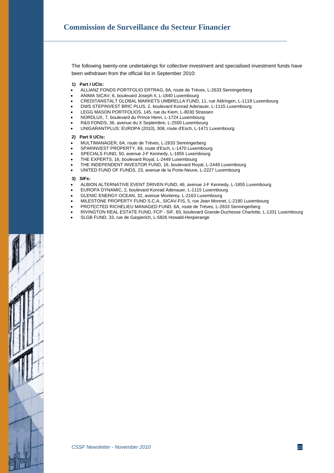The following twenty-one undertakings for collective investment and specialised investment funds have been withdrawn from the official list in September 2010:

**1) Part I UCIs:**

- ALLIANZ FONDS PORTFOLIO ERTRAG, 6A, route de Trèves, L-2633 Senningerberg
- ANIMA SICAV, 6, boulevard Joseph II, L-1840 Luxembourg
- CREDITANSTALT GLOBAL MARKETS UMBRELLA FUND, 11, rue Aldringen, L-1118 Luxembourg
- DWS STEPINVEST BRIC PLUS, 2, boulevard Konrad Adenauer, L-1115 Luxembourg
- LEGG MASON PORTFOLIOS, 145, rue du Kiem, L-8030 Strassen
- NORDLUX, 7, boulevard du Prince Henri, L-1724 Luxembourg
- R&S FONDS, 36, avenue du X Septembre, L-2550 Luxembourg
- UNIGARANTPLUS: EUROPA (2010), 308, route d'Esch, L-1471 Luxembourg

#### **2) Part II UCIs:**

- MULTIMANAGER, 6A, route de Trèves, L-2633 Senningerberg
- SPARINVEST PROPERTY, 69, route d'Esch, L-1470 Luxembourg
- SPECIALS FUND, 50, avenue J-F Kennedy, L-1855 Luxembourg
- THE EXPERTS, 16, boulevard Royal, L-2449 Luxembourg
- THE INDEPENDENT INVESTOR FUND, 16, boulevard Royal, L-2449 Luxembourg
- UNITED FUND OF FUNDS, 23, avenue de la Porte-Neuve, L-2227 Luxembourg

#### **3) SIFs:**

- ALBION ALTERNATIVE EVENT DRIVEN FUND, 46, avenue J-F Kennedy, L-1855 Luxembourg
- EUROPA DYNAMIC, 2, boulevard Konrad Adenauer, L-1115 Luxembourg
- GLENIC ENERGY OCEAN, 32, avenue Monterey, L-2163 Luxembourg
- MILESTONE PROPERTY FUND S.C.A., SICAV-FIS, 5, rue Jean Monnet, L-2180 Luxembourg
- PROTECTED RICHELIEU MANAGED FUND, 6A, route de Trèves, L-2633 Senningerberg
- RIVINGTON REAL ESTATE FUND, FCP SIF, 65, boulevard Grande-Duchesse Charlotte, L-1331 Luxembourg
- SLGB FUND, 33, rue de Gasperich, L-5826 Howald-Hesperange